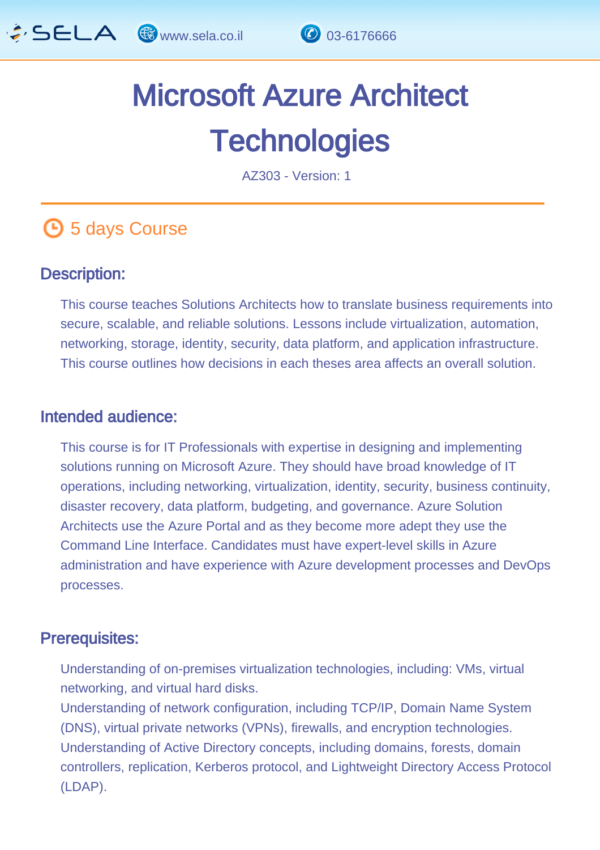

# Microsoft Azure Architect **Technologies**

AZ303 - Version: 1

# **4** 5 days Course

#### Description: Ĩ

This course teaches Solutions Architects how to translate business requirements into secure, scalable, and reliable solutions. Lessons include virtualization, automation, networking, storage, identity, security, data platform, and application infrastructure. This course outlines how decisions in each theses area affects an overall solution.

#### Intended audience: ľ

This course is for IT Professionals with expertise in designing and implementing solutions running on Microsoft Azure. They should have broad knowledge of IT operations, including networking, virtualization, identity, security, business continuity, disaster recovery, data platform, budgeting, and governance. Azure Solution Architects use the Azure Portal and as they become more adept they use the Command Line Interface. Candidates must have expert-level skills in Azure administration and have experience with Azure development processes and DevOps processes.

#### Prerequisites: Ï

Understanding of on-premises virtualization technologies, including: VMs, virtual networking, and virtual hard disks.

Understanding of network configuration, including TCP/IP, Domain Name System (DNS), virtual private networks (VPNs), firewalls, and encryption technologies. Understanding of Active Directory concepts, including domains, forests, domain controllers, replication, Kerberos protocol, and Lightweight Directory Access Protocol (LDAP).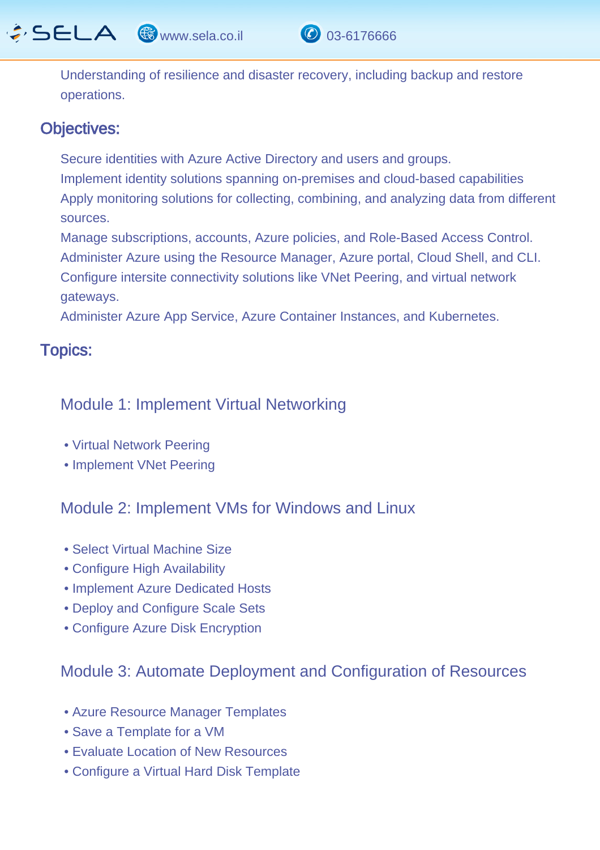$\hat{G}$  SELA  $\circledast$  www.sela.co.il  $\circledast$  03-6176666



Understanding of resilience and disaster recovery, including backup and restore operations.

#### Objectives: I

Secure identities with Azure Active Directory and users and groups. Implement identity solutions spanning on-premises and cloud-based capabilities Apply monitoring solutions for collecting, combining, and analyzing data from different sources.

Manage subscriptions, accounts, Azure policies, and Role-Based Access Control. Administer Azure using the Resource Manager, Azure portal, Cloud Shell, and CLI. Configure intersite connectivity solutions like VNet Peering, and virtual network gateways.

Administer Azure App Service, Azure Container Instances, and Kubernetes.

#### Topics: ľ

#### Module 1: Implement Virtual Networking

- Virtual Network Peering
- Implement VNet Peering

#### Module 2: Implement VMs for Windows and Linux

- Select Virtual Machine Size
- Configure High Availability
- Implement Azure Dedicated Hosts
- Deploy and Configure Scale Sets
- Configure Azure Disk Encryption

#### Module 3: Automate Deployment and Configuration of Resources

- Azure Resource Manager Templates
- Save a Template for a VM
- Evaluate Location of New Resources
- Configure a Virtual Hard Disk Template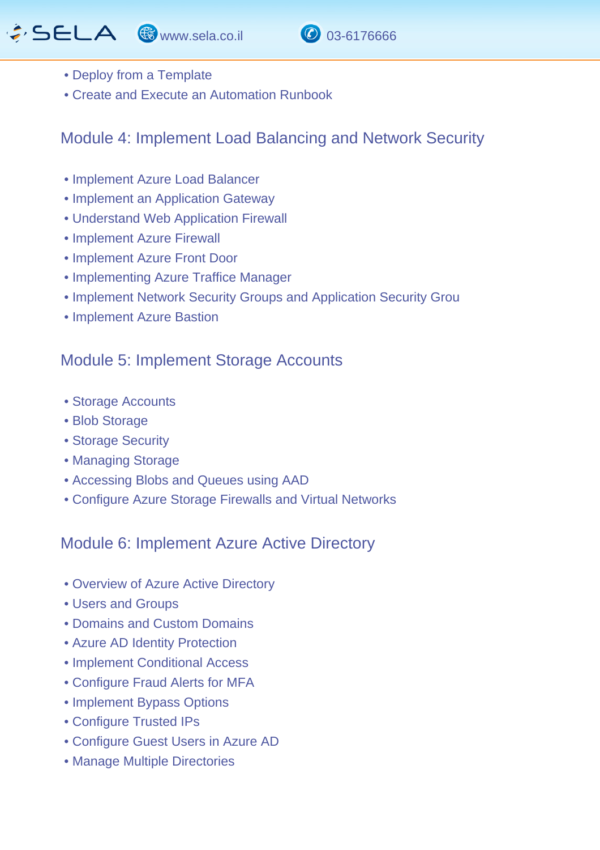# GSELA & www.sela.co.il 0 03-6176666





- Deploy from a Template
- Create and Execute an Automation Runbook

### Module 4: Implement Load Balancing and Network Security

- Implement Azure Load Balancer
- Implement an Application Gateway
- Understand Web Application Firewall
- Implement Azure Firewall
- Implement Azure Front Door
- Implementing Azure Traffice Manager
- Implement Network Security Groups and Application Security Grou
- Implement Azure Bastion

#### Module 5: Implement Storage Accounts

- Storage Accounts
- Blob Storage
- Storage Security
- Managing Storage
- Accessing Blobs and Queues using AAD
- Configure Azure Storage Firewalls and Virtual Networks

#### Module 6: Implement Azure Active Directory

- Overview of Azure Active Directory
- Users and Groups
- Domains and Custom Domains
- Azure AD Identity Protection
- Implement Conditional Access
- Configure Fraud Alerts for MFA
- Implement Bypass Options
- Configure Trusted IPs
- Configure Guest Users in Azure AD
- Manage Multiple Directories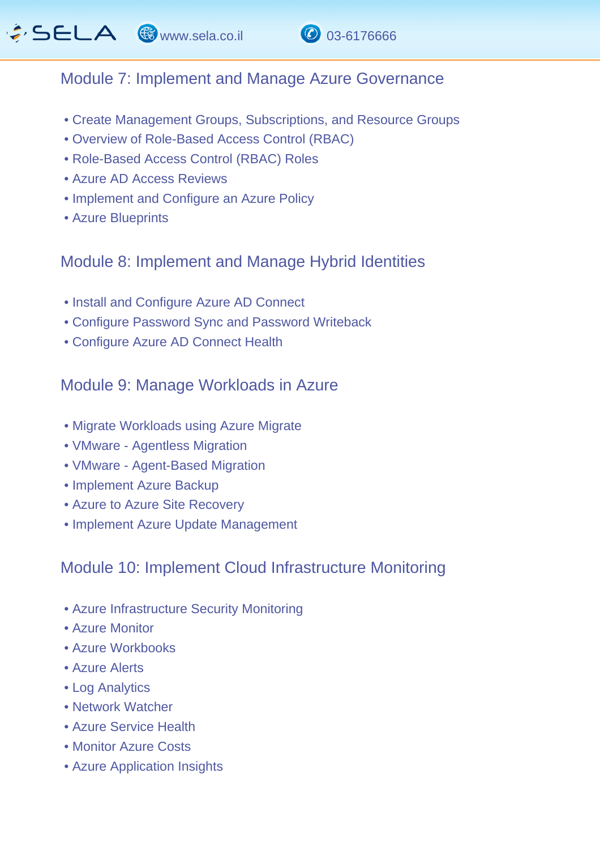

#### Module 7: Implement and Manage Azure Governance

- Create Management Groups, Subscriptions, and Resource Groups
- Overview of Role-Based Access Control (RBAC)
- Role-Based Access Control (RBAC) Roles
- Azure AD Access Reviews
- Implement and Configure an Azure Policy
- Azure Blueprints

#### Module 8: Implement and Manage Hybrid Identities

- Install and Configure Azure AD Connect
- Configure Password Sync and Password Writeback
- Configure Azure AD Connect Health

#### Module 9: Manage Workloads in Azure

- Migrate Workloads using Azure Migrate
- VMware Agentless Migration
- VMware Agent-Based Migration
- Implement Azure Backup
- Azure to Azure Site Recovery
- Implement Azure Update Management

# Module 10: Implement Cloud Infrastructure Monitoring

- Azure Infrastructure Security Monitoring
- Azure Monitor
- Azure Workbooks
- Azure Alerts
- Log Analytics
- Network Watcher
- Azure Service Health
- Monitor Azure Costs
- Azure Application Insights